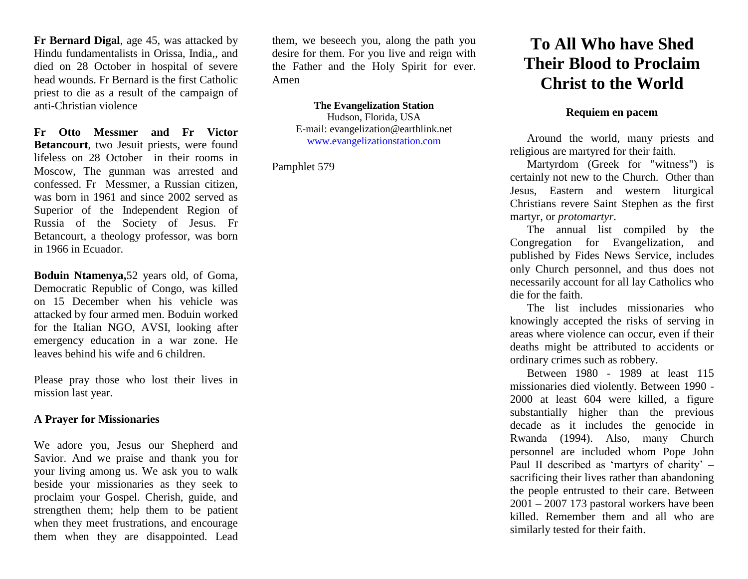**Fr Bernard Digal**, age 45, was attacked by Hindu fundamentalists in Orissa, India,, and died on 28 October in hospital of severe head wounds. Fr Bernard is the first Catholic priest to die as a result of the campaign of anti-Christian violence

**Fr Otto Messmer and Fr Victor Betancourt**, two Jesuit priests, were found lifeless on 28 October in their rooms in Moscow, The gunman was arrested and confessed. Fr Messmer, a Russian citizen, was born in 1961 and since 2002 served as Superior of the Independent Region of Russia of the Society of Jesus. Fr Betancourt, a theology professor, was born in 1966 in Ecuador.

**Boduin Ntamenya,**52 years old, of Goma, Democratic Republic of Congo, was killed on 15 December when his vehicle was attacked by four armed men. Boduin worked for the Italian NGO, AVSI, looking after emergency education in a war zone. He leaves behind his wife and 6 children.

Please pray those who lost their lives in mission last year.

## **A Prayer for Missionaries**

We adore you, Jesus our Shepherd and Savior. And we praise and thank you for your living among us. We ask you to walk beside your missionaries as they seek to proclaim your Gospel. Cherish, guide, and strengthen them; help them to be patient when they meet frustrations, and encourage them when they are disappointed. Lead

them, we beseech you, along the path you desire for them. For you live and reign with the Father and the Holy Spirit for ever. Amen

> **The Evangelization Station** Hudson, Florida, USA E-mail: evangelization@earthlink.net [www.evangelizationstation.com](http://www.pjpiisoe.org/)

Pamphlet 579

## **To All Who have Shed Their Blood to Proclaim Christ to the World**

## **Requiem en pacem**

Around the world, many priests and religious are martyred for their faith.

Martyrdom (Greek for "witness") is certainly not new to the Church. Other than Jesus, Eastern and western liturgical Christians revere Saint Stephen as the first martyr, or *protomartyr*.

The annual list compiled by the Congregation for Evangelization, and published by Fides News Service, includes only Church personnel, and thus does not necessarily account for all lay Catholics who die for the faith.

The list includes missionaries who knowingly accepted the risks of serving in areas where violence can occur, even if their deaths might be attributed to accidents or ordinary crimes such as robbery.

Between 1980 - 1989 at least 115 missionaries died violently. Between 1990 - 2000 at least 604 were killed, a figure substantially higher than the previous decade as it includes the genocide in Rwanda (1994). Also, many Church personnel are included whom Pope John Paul II described as 'martyrs of charity' – sacrificing their lives rather than abandoning the people entrusted to their care. Between 2001 – 2007 173 pastoral workers have been killed. Remember them and all who are similarly tested for their faith.